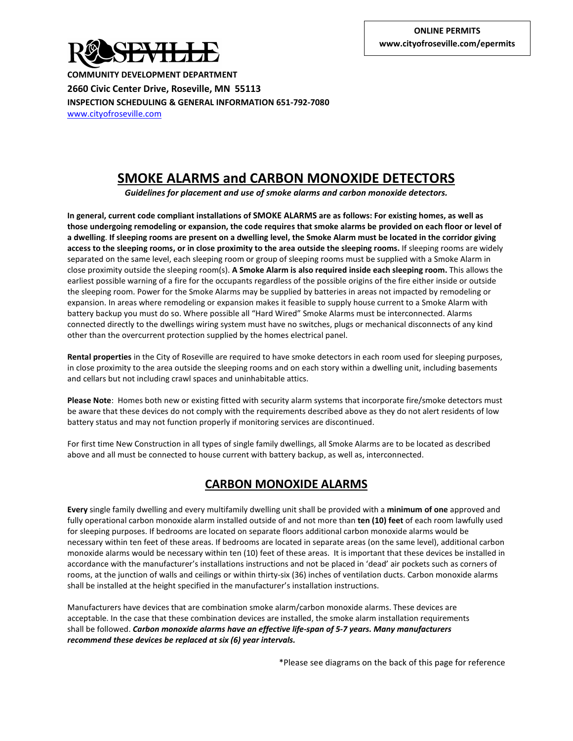

**COMMUNITY DEVELOPMENT DEPARTMENT 2660 Civic Center Drive, Roseville, MN 55113 INSPECTION SCHEDULING & GENERAL INFORMATION 651-792-7080** [www.cityofroseville.com](http://www.cityofroseville.com/)

## **SMOKE ALARMS and CARBON MONOXIDE DETECTORS**

*Guidelines for placement and use of smoke alarms and carbon monoxide detectors.*

**In general, current code compliant installations of SMOKE ALARMS are as follows: For existing homes, as well as those undergoing remodeling or expansion, the code requires that smoke alarms be provided on each floor or level of a dwelling**. **If sleeping rooms are present on a dwelling level, the Smoke Alarm must be located in the corridor giving access to the sleeping rooms, or in close proximity to the area outside the sleeping rooms.** If sleeping rooms are widely separated on the same level, each sleeping room or group of sleeping rooms must be supplied with a Smoke Alarm in close proximity outside the sleeping room(s). **A Smoke Alarm is also required inside each sleeping room.** This allows the earliest possible warning of a fire for the occupants regardless of the possible origins of the fire either inside or outside the sleeping room. Power for the Smoke Alarms may be supplied by batteries in areas not impacted by remodeling or expansion. In areas where remodeling or expansion makes it feasible to supply house current to a Smoke Alarm with battery backup you must do so. Where possible all "Hard Wired" Smoke Alarms must be interconnected. Alarms connected directly to the dwellings wiring system must have no switches, plugs or mechanical disconnects of any kind other than the overcurrent protection supplied by the homes electrical panel.

**Rental properties** in the City of Roseville are required to have smoke detectors in each room used for sleeping purposes, in close proximity to the area outside the sleeping rooms and on each story within a dwelling unit, including basements and cellars but not including crawl spaces and uninhabitable attics.

**Please Note**: Homes both new or existing fitted with security alarm systems that incorporate fire/smoke detectors must be aware that these devices do not comply with the requirements described above as they do not alert residents of low battery status and may not function properly if monitoring services are discontinued.

For first time New Construction in all types of single family dwellings, all Smoke Alarms are to be located as described above and all must be connected to house current with battery backup, as well as, interconnected.

## **CARBON MONOXIDE ALARMS**

**Every** single family dwelling and every multifamily dwelling unit shall be provided with a **minimum of one** approved and fully operational carbon monoxide alarm installed outside of and not more than **ten (10) feet** of each room lawfully used for sleeping purposes. If bedrooms are located on separate floors additional carbon monoxide alarms would be necessary within ten feet of these areas. If bedrooms are located in separate areas (on the same level), additional carbon monoxide alarms would be necessary within ten (10) feet of these areas. It is important that these devices be installed in accordance with the manufacturer's installations instructions and not be placed in 'dead' air pockets such as corners of rooms, at the junction of walls and ceilings or within thirty-six (36) inches of ventilation ducts. Carbon monoxide alarms shall be installed at the height specified in the manufacturer's installation instructions.

Manufacturers have devices that are combination smoke alarm/carbon monoxide alarms. These devices are acceptable. In the case that these combination devices are installed, the smoke alarm installation requirements shall be followed. *Carbon monoxide alarms have an effective life-span of 5-7 years. Many manufacturers recommend these devices be replaced at six (6) year intervals.* 

\*Please see diagrams on the back of this page for reference